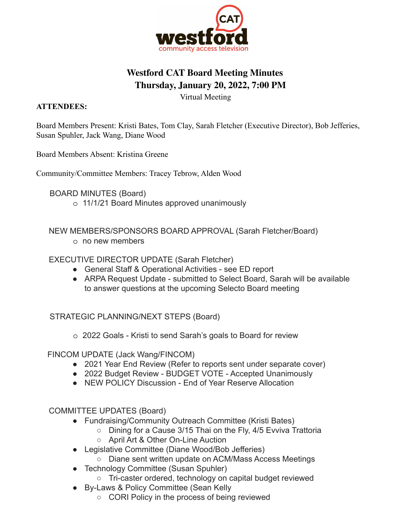

## **Westford CAT Board Meeting Minutes Thursday, January 20, 2022, 7:00 PM**

Virtual Meeting

## **ATTENDEES:**

Board Members Present: Kristi Bates, Tom Clay, Sarah Fletcher (Executive Director), Bob Jefferies, Susan Spuhler, Jack Wang, Diane Wood

Board Members Absent: Kristina Greene

Community/Committee Members: Tracey Tebrow, Alden Wood

BOARD MINUTES (Board)

o 11/1/21 Board Minutes approved unanimously

NEW MEMBERS/SPONSORS BOARD APPROVAL (Sarah Fletcher/Board) o no new members

## EXECUTIVE DIRECTOR UPDATE (Sarah Fletcher)

- General Staff & Operational Activities see ED report
- ARPA Request Update submitted to Select Board, Sarah will be available to answer questions at the upcoming Selecto Board meeting

STRATEGIC PLANNING/NEXT STEPS (Board)

o 2022 Goals - Kristi to send Sarah's goals to Board for review

FINCOM UPDATE (Jack Wang/FINCOM)

- 2021 Year End Review (Refer to reports sent under separate cover)
- 2022 Budget Review BUDGET VOTE Accepted Unanimously
- NEW POLICY Discussion End of Year Reserve Allocation

COMMITTEE UPDATES (Board)

- Fundraising/Community Outreach Committee (Kristi Bates)
	- Dining for a Cause 3/15 Thai on the Fly, 4/5 Evviva Trattoria
	- April Art & Other On-Line Auction
- Legislative Committee (Diane Wood/Bob Jefferies)
	- Diane sent written update on ACM/Mass Access Meetings
- Technology Committee (Susan Spuhler)
	- Tri-caster ordered, technology on capital budget reviewed
- By-Laws & Policy Committee (Sean Kelly
	- CORI Policy in the process of being reviewed